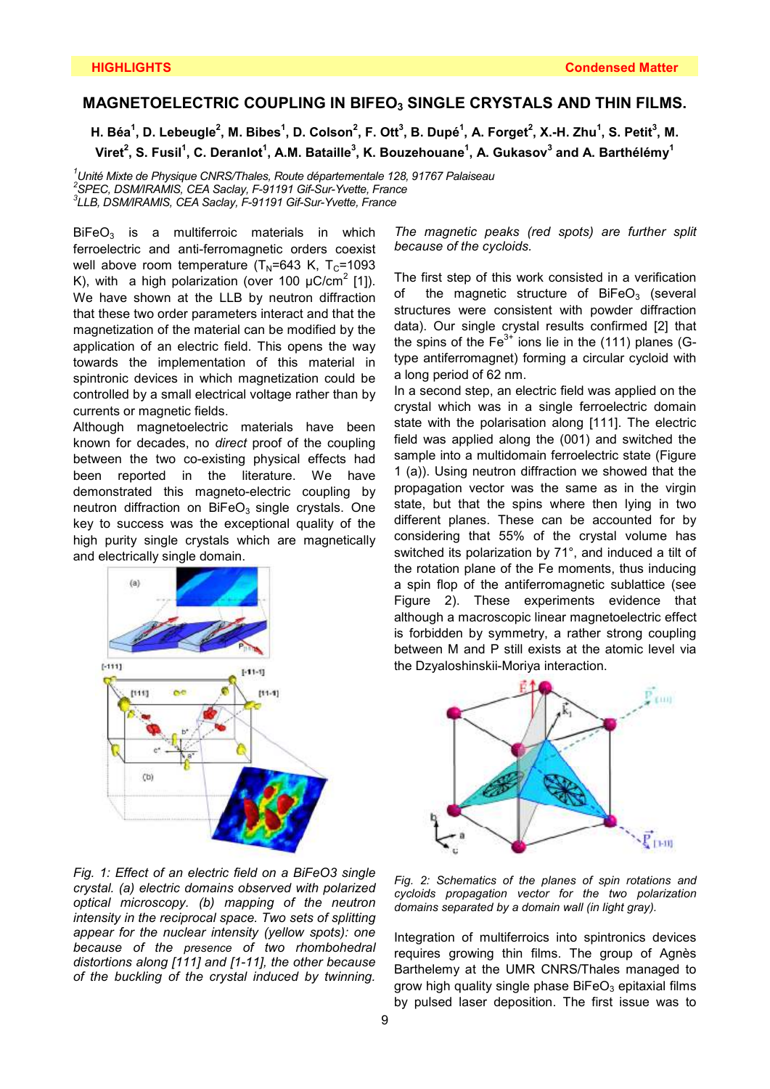## **MAGNETOELECTRIC COUPLING IN BIFEO3 SINGLE CRYSTALS AND THIN FILMS.**

H. Béa $^1$ , D. Lebeugle $^2$ , M. Bibes $^1$ , D. Colson $^2$ , F. Ott $^3$ , B. Dupé $^1$ , A. Forget $^2$ , X.-H. Zhu $^1$ , S. Petit $^3$ , M. **Viret<sup>2</sup> , S. Fusil<sup>1</sup> , C. Deranlot<sup>1</sup> , A.M. Bataille<sup>3</sup> , K. Bouzehouane<sup>1</sup> , A. Gukasov<sup>3</sup> and A. Barthélémy<sup>1</sup>**

*<sup>1</sup>Unité Mixte de Physique CNRS/Thales, Route départementale 128, 91767 Palaiseau 2 SPEC, DSM/IRAMIS, CEA Saclay, F-91191 Gif-Sur-Yvette, France 3 LLB, DSM/IRAMIS, CEA Saclay, F-91191 Gif-Sur-Yvette, France* 

 $BiFeO<sub>3</sub>$  is a multiferroic materials in which ferroelectric and anti-ferromagnetic orders coexist well above room temperature  $(T_N=643 \text{ K}$ ,  $T_C=1093 \text{ K}$ K), with a high polarization (over 100  $\mu$ C/cm<sup>2</sup> [1]). We have shown at the LLB by neutron diffraction that these two order parameters interact and that the magnetization of the material can be modified by the application of an electric field. This opens the way towards the implementation of this material in spintronic devices in which magnetization could be controlled by a small electrical voltage rather than by currents or magnetic fields.

Although magnetoelectric materials have been known for decades, no *direct* proof of the coupling between the two co-existing physical effects had been reported in the literature. We have demonstrated this magneto-electric coupling by neutron diffraction on  $BiFeO<sub>3</sub>$  single crystals. One key to success was the exceptional quality of the high purity single crystals which are magnetically and electrically single domain.



*Fig. 1: Effect of an electric field on a BiFeO3 single crystal. (a) electric domains observed with polarized optical microscopy. (b) mapping of the neutron intensity in the reciprocal space. Two sets of splitting appear for the nuclear intensity (yellow spots): one because of the presence of two rhombohedral distortions along [111] and [1-11], the other because of the buckling of the crystal induced by twinning.*

*The magnetic peaks (red spots) are further split because of the cycloids.* 

The first step of this work consisted in a verification of the magnetic structure of  $BiFeO<sub>3</sub>$  (several structures were consistent with powder diffraction data). Our single crystal results confirmed [2] that the spins of the  $Fe<sup>3+</sup>$  ions lie in the (111) planes (Gtype antiferromagnet) forming a circular cycloid with a long period of 62 nm.

In a second step, an electric field was applied on the crystal which was in a single ferroelectric domain state with the polarisation along [111]. The electric field was applied along the (001) and switched the sample into a multidomain ferroelectric state (Figure 1 (a)). Using neutron diffraction we showed that the propagation vector was the same as in the virgin state, but that the spins where then lying in two different planes. These can be accounted for by considering that 55% of the crystal volume has switched its polarization by 71°, and induced a tilt of the rotation plane of the Fe moments, thus inducing a spin flop of the antiferromagnetic sublattice (see Figure 2). These experiments evidence that although a macroscopic linear magnetoelectric effect is forbidden by symmetry, a rather strong coupling between M and P still exists at the atomic level via the Dzyaloshinskii-Moriya interaction.



*Fig. 2: Schematics of the planes of spin rotations and cycloids propagation vector for the two polarization domains separated by a domain wall (in light gray).*

Integration of multiferroics into spintronics devices requires growing thin films. The group of Agnès Barthelemy at the UMR CNRS/Thales managed to grow high quality single phase  $BiFeO<sub>3</sub>$  epitaxial films by pulsed laser deposition. The first issue was to